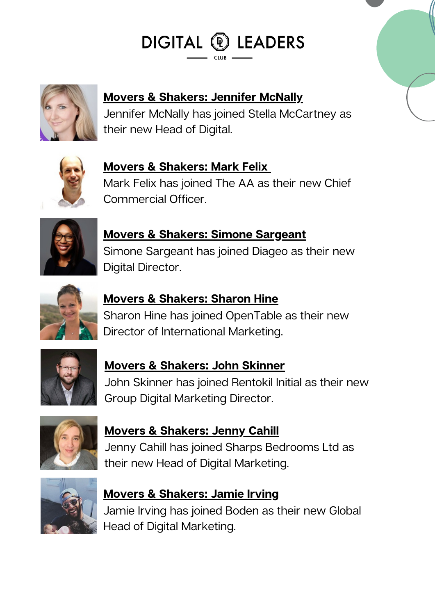



**Movers & [Shakers:](https://www.linkedin.com/in/jennifer-mcnally-9429ba1b/?originalSubdomain=uk) Jennifer McNally**

Jennifer McNally has joined Stella McCartney as their new Head of Digital.



**Movers & [Shakers:](https://www.linkedin.com/in/markfelix/) Mark Felix** Mark Felix has joined The AA as their new Chief Commercial Officer.



**Movers & Shakers: Simone [Sargeant](https://www.linkedin.com/in/markfelix/)** Simone Sargeant has joined Diageo as their new Digital Director.



### **Movers & [Shakers:](https://www.linkedin.com/in/harrissharon/) Sharon Hine**

Sharon Hine has joined OpenTable as their new Director of International Marketing.



**Movers & [Shakers:](https://www.linkedin.com/in/skinnerjohn/) John Skinner** John Skinner has joined Rentokil Initial as their new Group Digital Marketing Director.



**Movers & [Shakers:](https://www.linkedin.com/in/jennycahill/?originalSubdomain=uk) Jenny Cahill** Jenny Cahill has joined Sharps Bedrooms Ltd as their new Head of Digital Marketing.



**Movers & [Shakers:](https://www.linkedin.com/in/jamie-irving-36962820/) Jamie Irving** Jamie Irving has joined Boden as their new Global Head of Digital Marketing.

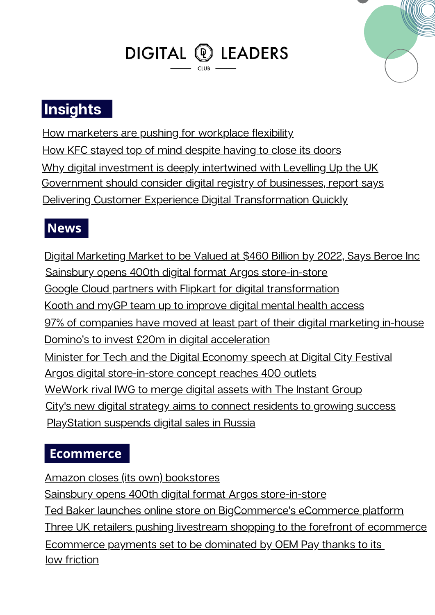# DIGITAL <sup>®</sup> LEADERS



### **Insights**

How marketers are pushing for [workplace](https://www.marketingweek.com/marketers-workplace-flexibility/) flexibility How KFC stayed top of mind [despite](https://www.marketingweek.com/masters-awards-kfc-top-mind/) having to close its doors Why digital investment is deeply [intertwined](https://www.totaltele.com/512695/Why-digital-investment-is-deeply-intertwined-with-Levelling-Up-the-UK) with Levelling Up the UK [Government](https://www.independent.co.uk/business/government-should-consider-digital-registry-of-businesses-report-says-b2031271.html) should consider digital registry of businesses, report says Delivering Customer Experience Digital [Transformation](https://www.openaccessgovernment.org/customer-experience-digital-transformation/131191/) Quickly

#### **News**

Digital [Marketing](https://www.prnewswire.co.uk/news-releases/digital-marketing-market-to-be-valued-at-460-billion-by-2022-says-beroe-inc-855155536.html) Market to be Valued at \$460 Billion by 2022, Says Beroe Inc Sainsbury opens 400th digital format Argos [store-in-store](https://internetretailing.net/themes/sainsbury-opens-400th-digital-format-argos-store-in-store-24500) Google Cloud partners with Flipkart for digital [transformation](https://www.itpro.co.uk/business-strategy/digital-transformation/365392/google-cloud-partners-with-flipkart-for-digital) Kooth and myGP team up to [improve](https://www.digitalhealth.net/2022/03/kooth-mygp-digital-mental-health-access/) digital mental health access 97% of [companies](https://marketingtechnews.net/news/2022/mar/07/97-of-companies-have-moved-at-least-part-of-their-digital-marketing-in-house/) have moved at least part of their digital marketing in-house Domino's to invest £20m in digital [acceleration](https://www.marketingweek.com/dominos-invest-20m-digital-acceleration/) Minister for Tech and the Digital [Economy](https://www.gov.uk/government/speeches/minister-for-tech-and-the-digital-economy-speech-at-digital-city-festival) speech at Digital City Festival Argos digital [store-in-store](https://toyworldmag.co.uk/argos-digital-store-in-store-concept-reaches-400-outlets/) concept reaches 400 outlets [WeWork](https://www.reuters.com/business/wework-rival-iwg-merge-digital-assets-with-instant-group-2022-03-08/) rival IWG to merge digital assets with The Instant Group City's new digital strategy aims to connect [residents](https://www.manchester.gov.uk/news/article/8973/citys_new_digital_strategy_aims_to_connect_residents_to_growing_success) to growing success [PlayStation](https://www.eurogamer.net/articles/2022-03-09-playstation-suspends-digital-sales-in-russia-halts-all-hardware-and-software-shipments) suspends digital sales in Russia

#### **Ecommerce**

Amazon closes (its own) [bookstores](https://www.linkedin.com/news/story/amazon-closes-its-own-bookstores-4685201/) Sainsbury opens 400th digital format Argos [store-in-store](https://internetretailing.net/themes/sainsbury-opens-400th-digital-format-argos-store-in-store-24500) Ted Baker launches online store on [BigCommerce's](https://www.enterprisetimes.co.uk/2022/03/09/ted-baker-launches-online-store-on-bigcommerces-ecommerce-platform/) eCommerce platform Three UK retailers pushing livestream shopping to the forefront of [ecommerce](https://www.chargedretail.co.uk/2022/03/09/the-retailers-that-are-pushing-livestream-shopping-to-the-forefront-of-ecommerce/) [Ecommerce](https://www.telemediaonline.co.uk/ecommerce-payments-set-to-be-dominated-by-oem-pay-thanks-to-its-low-friction/) payments set to be dominated by OEM Pay thanks to its low [friction](https://www.telemediaonline.co.uk/ecommerce-payments-set-to-be-dominated-by-oem-pay-thanks-to-its-low-friction/)